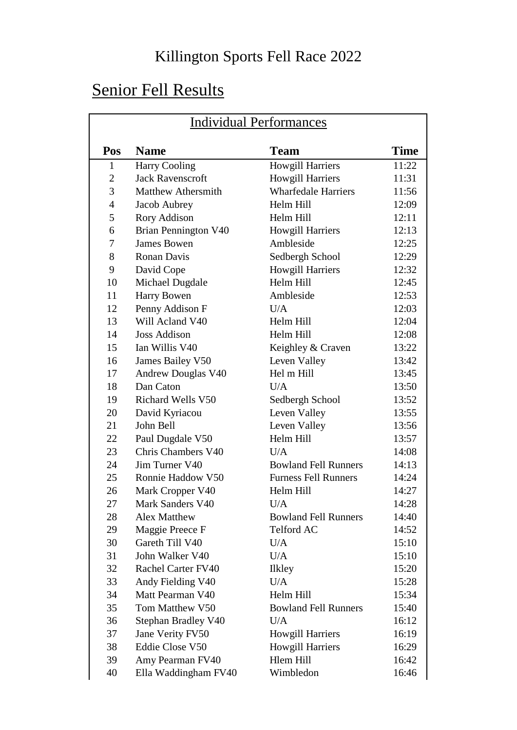#### Killington Sports Fell Race 2022

## Senior Fell Results

| <b>Individual Performances</b> |                           |                             |             |
|--------------------------------|---------------------------|-----------------------------|-------------|
| Pos                            | <b>Name</b>               | <b>Team</b>                 | <b>Time</b> |
| $\mathbf{1}$                   | <b>Harry Cooling</b>      | <b>Howgill Harriers</b>     | 11:22       |
| $\overline{2}$                 | <b>Jack Ravenscroft</b>   | <b>Howgill Harriers</b>     | 11:31       |
| 3                              | <b>Matthew Athersmith</b> | <b>Wharfedale Harriers</b>  | 11:56       |
| $\overline{4}$                 | Jacob Aubrey              | Helm Hill                   | 12:09       |
| 5                              | Rory Addison              | Helm Hill                   | 12:11       |
| 6                              | Brian Pennington V40      | Howgill Harriers            | 12:13       |
| 7                              | <b>James Bowen</b>        | Ambleside                   | 12:25       |
| 8                              | <b>Ronan Davis</b>        | Sedbergh School             | 12:29       |
| 9                              | David Cope                | <b>Howgill Harriers</b>     | 12:32       |
| 10                             | Michael Dugdale           | Helm Hill                   | 12:45       |
| 11                             | <b>Harry Bowen</b>        | Ambleside                   | 12:53       |
| 12                             | Penny Addison F           | U/A                         | 12:03       |
| 13                             | Will Acland V40           | Helm Hill                   | 12:04       |
| 14                             | <b>Joss Addison</b>       | Helm Hill                   | 12:08       |
| 15                             | Ian Willis V40            | Keighley & Craven           | 13:22       |
| 16                             | James Bailey V50          | Leven Valley                | 13:42       |
| 17                             | Andrew Douglas V40        | Hel m Hill                  | 13:45       |
| 18                             | Dan Caton                 | U/A                         | 13:50       |
| 19                             | <b>Richard Wells V50</b>  | Sedbergh School             | 13:52       |
| 20                             | David Kyriacou            | Leven Valley                | 13:55       |
| 21                             | John Bell                 | Leven Valley                | 13:56       |
| 22                             | Paul Dugdale V50          | Helm Hill                   | 13:57       |
| 23                             | Chris Chambers V40        | U/A                         | 14:08       |
| 24                             | Jim Turner V40            | <b>Bowland Fell Runners</b> | 14:13       |
| 25                             | Ronnie Haddow V50         | <b>Furness Fell Runners</b> | 14:24       |
| 26                             | Mark Cropper V40          | Helm Hill                   | 14:27       |
| 27                             | Mark Sanders V40          | U/A                         | 14:28       |
| 28                             | <b>Alex Matthew</b>       | <b>Bowland Fell Runners</b> | 14:40       |
| 29                             | Maggie Preece F           | Telford AC                  | 14:52       |
| 30                             | Gareth Till V40           | U/A                         | 15:10       |
| 31                             | John Walker V40           | U/A                         | 15:10       |
| 32                             | <b>Rachel Carter FV40</b> | <b>Ilkley</b>               | 15:20       |
| 33                             | Andy Fielding V40         | U/A                         | 15:28       |
| 34                             | Matt Pearman V40          | Helm Hill                   | 15:34       |
| 35                             | Tom Matthew V50           | <b>Bowland Fell Runners</b> | 15:40       |
| 36                             | Stephan Bradley V40       | U/A                         | 16:12       |
| 37                             | Jane Verity FV50          | <b>Howgill Harriers</b>     | 16:19       |
| 38                             | Eddie Close V50           | <b>Howgill Harriers</b>     | 16:29       |
| 39                             | Amy Pearman FV40          | Hlem Hill                   | 16:42       |
| 40                             | Ella Waddingham FV40      | Wimbledon                   | 16:46       |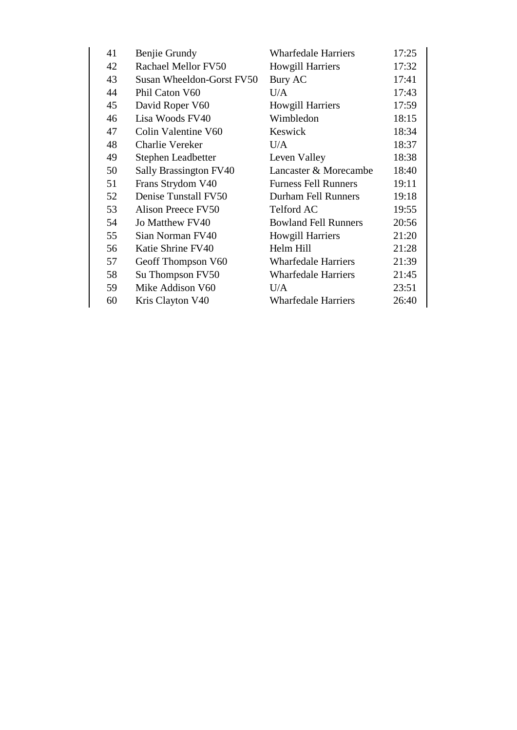| 41 | Benjie Grundy             | <b>Wharfedale Harriers</b>  | 17:25 |
|----|---------------------------|-----------------------------|-------|
| 42 | Rachael Mellor FV50       | <b>Howgill Harriers</b>     | 17:32 |
| 43 | Susan Wheeldon-Gorst FV50 | Bury AC                     | 17:41 |
| 44 | Phil Caton V60            | U/A                         | 17:43 |
| 45 | David Roper V60           | <b>Howgill Harriers</b>     | 17:59 |
| 46 | Lisa Woods FV40           | Wimbledon                   | 18:15 |
| 47 | Colin Valentine V60       | Keswick                     | 18:34 |
| 48 | Charlie Vereker           | U/A                         | 18:37 |
| 49 | Stephen Leadbetter        | Leven Valley                | 18:38 |
| 50 | Sally Brassington FV40    | Lancaster & Morecambe       | 18:40 |
| 51 | Frans Strydom V40         | <b>Furness Fell Runners</b> | 19:11 |
| 52 | Denise Tunstall FV50      | <b>Durham Fell Runners</b>  | 19:18 |
| 53 | Alison Preece FV50        | Telford AC                  | 19:55 |
| 54 | Jo Matthew FV40           | <b>Bowland Fell Runners</b> | 20:56 |
| 55 | Sian Norman FV40          | <b>Howgill Harriers</b>     | 21:20 |
| 56 | Katie Shrine FV40         | Helm Hill                   | 21:28 |
| 57 | Geoff Thompson V60        | <b>Wharfedale Harriers</b>  | 21:39 |
| 58 | Su Thompson FV50          | <b>Wharfedale Harriers</b>  | 21:45 |
| 59 | Mike Addison V60          | U/A                         | 23:51 |
| 60 | Kris Clayton V40          | <b>Wharfedale Harriers</b>  | 26:40 |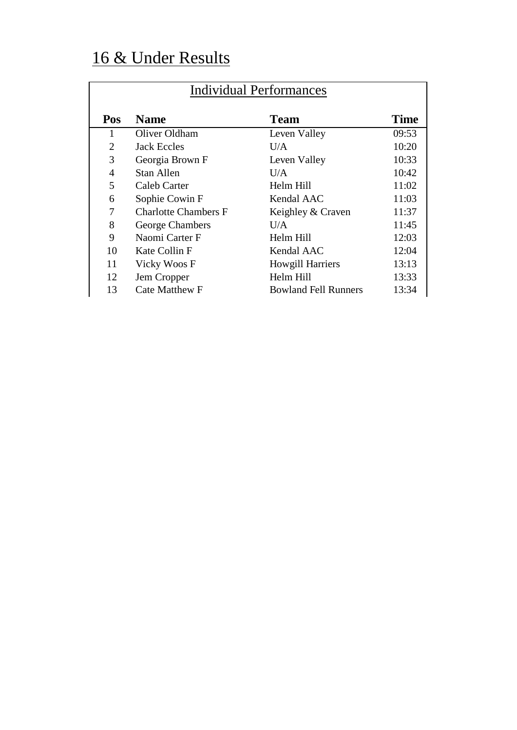# 16 & Under Results

| Individual Performances |                             |                             |             |
|-------------------------|-----------------------------|-----------------------------|-------------|
| <b>Pos</b>              | <b>Name</b>                 | <b>Team</b>                 | <b>Time</b> |
| 1                       | Oliver Oldham               | Leven Valley                | 09:53       |
| $\overline{2}$          | Jack Eccles                 | U/A                         | 10:20       |
| 3                       | Georgia Brown F             | Leven Valley                | 10:33       |
| 4                       | Stan Allen                  | I <sub>I/A</sub>            | 10:42       |
| 5                       | Caleb Carter                | Helm Hill                   | 11:02       |
| 6                       | Sophie Cowin F              | Kendal AAC                  | 11:03       |
| 7                       | <b>Charlotte Chambers F</b> | Keighley & Craven           | 11:37       |
| 8                       | George Chambers             | U/A                         | 11:45       |
| 9                       | Naomi Carter F              | Helm Hill                   | 12:03       |
| 10                      | Kate Collin F               | Kendal AAC                  | 12:04       |
| 11                      | Vicky Woos F                | <b>Howgill Harriers</b>     | 13:13       |
| 12                      | Jem Cropper                 | Helm Hill                   | 13:33       |
| 13                      | <b>Cate Matthew F</b>       | <b>Bowland Fell Runners</b> | 13:34       |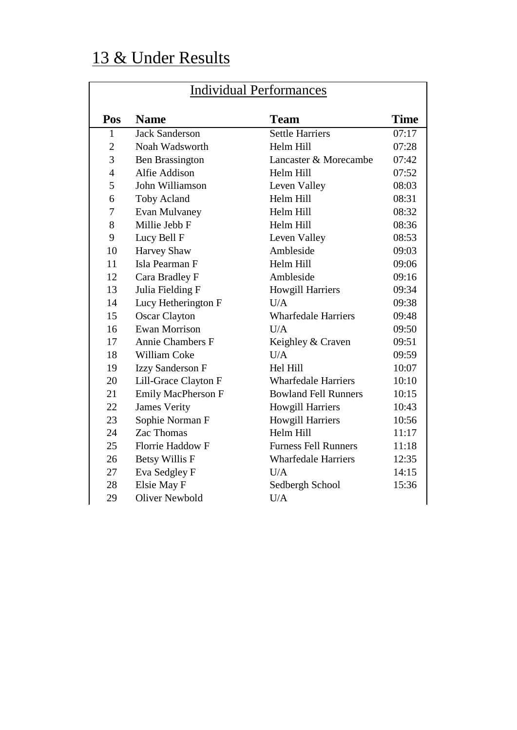## 13 & Under Results

| <b>Individual Performances</b> |                         |                             |             |
|--------------------------------|-------------------------|-----------------------------|-------------|
|                                |                         |                             |             |
| Pos                            | <b>Name</b>             | <b>Team</b>                 | <b>Time</b> |
| $\mathbf{1}$                   | <b>Jack Sanderson</b>   | <b>Settle Harriers</b>      | 07:17       |
| $\overline{2}$                 | Noah Wadsworth          | Helm Hill                   | 07:28       |
| 3                              | <b>Ben Brassington</b>  | Lancaster & Morecambe       | 07:42       |
| $\overline{4}$                 | Alfie Addison           | Helm Hill                   | 07:52       |
| 5                              | John Williamson         | Leven Valley                | 08:03       |
| 6                              | <b>Toby Acland</b>      | Helm Hill                   | 08:31       |
| 7                              | Evan Mulvaney           | Helm Hill                   | 08:32       |
| 8                              | Millie Jebb F           | Helm Hill                   | 08:36       |
| 9                              | Lucy Bell F             | Leven Valley                | 08:53       |
| 10                             | <b>Harvey Shaw</b>      | Ambleside                   | 09:03       |
| 11                             | Isla Pearman F          | Helm Hill                   | 09:06       |
| 12                             | Cara Bradley F          | Ambleside                   | 09:16       |
| 13                             | Julia Fielding F        | <b>Howgill Harriers</b>     | 09:34       |
| 14                             | Lucy Hetherington F     | U/A                         | 09:38       |
| 15                             | <b>Oscar Clayton</b>    | <b>Wharfedale Harriers</b>  | 09:48       |
| 16                             | <b>Ewan Morrison</b>    | U/A                         | 09:50       |
| 17                             | <b>Annie Chambers F</b> | Keighley & Craven           | 09:51       |
| 18                             | <b>William Coke</b>     | U/A                         | 09:59       |
| 19                             | <b>Izzy Sanderson F</b> | Hel Hill                    | 10:07       |
| 20                             | Lill-Grace Clayton F    | <b>Wharfedale Harriers</b>  | 10:10       |
| 21                             | Emily MacPherson F      | <b>Bowland Fell Runners</b> | 10:15       |
| 22                             | <b>James Verity</b>     | <b>Howgill Harriers</b>     | 10:43       |
| 23                             | Sophie Norman F         | <b>Howgill Harriers</b>     | 10:56       |
| 24                             | Zac Thomas              | Helm Hill                   | 11:17       |
| 25                             | <b>Florrie Haddow F</b> | <b>Furness Fell Runners</b> | 11:18       |
| 26                             | <b>Betsy Willis F</b>   | <b>Wharfedale Harriers</b>  | 12:35       |
| 27                             | Eva Sedgley F           | U/A                         | 14:15       |
| 28                             | Elsie May F             | Sedbergh School             | 15:36       |
| 29                             | <b>Oliver Newbold</b>   | U/A                         |             |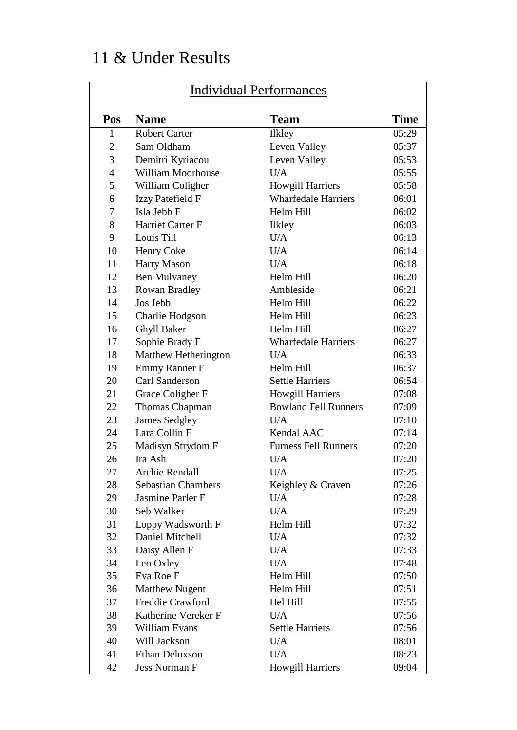# 11 & Under Results

| <b>Individual Performances</b> |                           |                             |             |
|--------------------------------|---------------------------|-----------------------------|-------------|
| Pos                            | <b>Name</b>               | <b>Team</b>                 | <b>Time</b> |
| 1                              | <b>Robert Carter</b>      | <b>Ilkley</b>               | 05:29       |
| $\overline{2}$                 | Sam Oldham                | Leven Valley                | 05:37       |
| 3                              | Demitri Kyriacou          | Leven Valley                | 05:53       |
| $\overline{4}$                 | <b>William Moorhouse</b>  | U/A                         | 05:55       |
| 5                              | William Coligher          | <b>Howgill Harriers</b>     | 05:58       |
| 6                              | Izzy Patefield F          | <b>Wharfedale Harriers</b>  | 06:01       |
| 7                              | Isla Jebb F               | Helm Hill                   | 06:02       |
| 8                              | Harriet Carter F          | Ilkley                      | 06:03       |
| 9                              | Louis Till                | U/A                         | 06:13       |
| 10                             | Henry Coke                | U/A                         | 06:14       |
| 11                             | <b>Harry Mason</b>        | U/A                         | 06:18       |
| 12                             | <b>Ben Mulvaney</b>       | Helm Hill                   | 06:20       |
| 13                             | Rowan Bradley             | Ambleside                   | 06:21       |
| 14                             | Jos Jebb                  | Helm Hill                   | 06:22       |
| 15                             | Charlie Hodgson           | Helm Hill                   | 06:23       |
| 16                             | <b>Ghyll Baker</b>        | Helm Hill                   | 06:27       |
| 17                             | Sophie Brady F            | <b>Wharfedale Harriers</b>  | 06:27       |
| 18                             | Matthew Hetherington      | U/A                         | 06:33       |
| 19                             | <b>Emmy Ranner F</b>      | Helm Hill                   | 06:37       |
| 20                             | <b>Carl Sanderson</b>     | <b>Settle Harriers</b>      | 06:54       |
| 21                             | Grace Coligher F          | <b>Howgill Harriers</b>     | 07:08       |
| 22                             | Thomas Chapman            | <b>Bowland Fell Runners</b> | 07:09       |
| 23                             | <b>James Sedgley</b>      | U/A                         | 07:10       |
| 24                             | Lara Collin F             | Kendal AAC                  | 07:14       |
| 25                             | Madisyn Strydom F         | <b>Furness Fell Runners</b> | 07:20       |
| 26                             | Ira Ash                   | U/A                         | 07:20       |
| 27                             | Archie Rendall            | U/A                         | 07:25       |
| 28                             | <b>Sebastian Chambers</b> | Keighley & Craven           | 07:26       |
| 29                             | Jasmine Parler F          | U/A                         | 07:28       |
| 30                             | Seb Walker                | U/A                         | 07:29       |
| 31                             | Loppy Wadsworth F         | Helm Hill                   | 07:32       |
| 32                             | Daniel Mitchell           | U/A                         | 07:32       |
| 33                             | Daisy Allen F             | U/A                         | 07:33       |
| 34                             | Leo Oxley                 | U/A                         | 07:48       |
| 35                             | Eva Roe F                 | Helm Hill                   | 07:50       |
| 36                             | <b>Matthew Nugent</b>     | Helm Hill                   | 07:51       |
| 37                             | Freddie Crawford          | Hel Hill                    | 07:55       |
| 38                             | Katherine Vereker F       | U/A                         | 07:56       |
| 39                             | William Evans             | <b>Settle Harriers</b>      | 07:56       |
| 40                             | Will Jackson              | U/A                         | 08:01       |
| 41                             | <b>Ethan Deluxson</b>     | U/A                         | 08:23       |
| 42                             | Jess Norman F             | Howgill Harriers            | 09:04       |